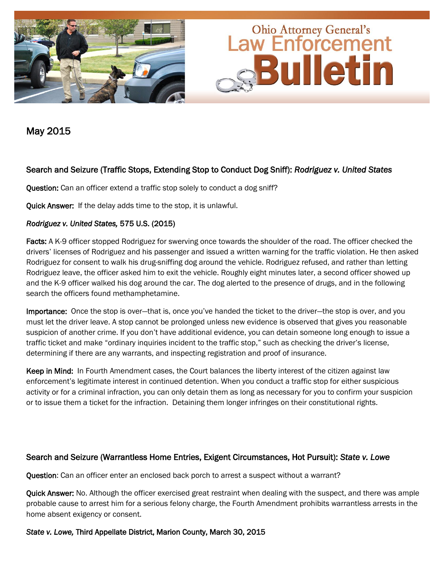

May 2015

## Search and Seizure (Traffic Stops, Extending Stop to Conduct Dog Sniff): *Rodriguez v. United States*

Question: Can an officer extend a traffic stop solely to conduct a dog sniff?

Quick Answer: If the delay adds time to the stop, it is unlawful.

### *Rodriguez v. United States,* 575 U.S. (2015)

Facts: A K-9 officer stopped Rodriguez for swerving once towards the shoulder of the road. The officer checked the drivers' licenses of Rodriguez and his passenger and issued a written warning for the traffic violation. He then asked Rodriguez for consent to walk his drug-sniffing dog around the vehicle. Rodriguez refused, and rather than letting Rodriguez leave, the officer asked him to exit the vehicle. Roughly eight minutes later, a second officer showed up and the K-9 officer walked his dog around the car. The dog alerted to the presence of drugs, and in the following search the officers found methamphetamine.

Importance: Once the stop is over—that is, once you've handed the ticket to the driver—the stop is over, and you must let the driver leave. A stop cannot be prolonged unless new evidence is observed that gives you reasonable suspicion of another crime. If you don't have additional evidence, you can detain someone long enough to issue a traffic ticket and make "ordinary inquiries incident to the traffic stop," such as checking the driver's license, determining if there are any warrants, and inspecting registration and proof of insurance.

Keep in Mind: In Fourth Amendment cases, the Court balances the liberty interest of the citizen against law enforcement's legitimate interest in continued detention. When you conduct a traffic stop for either suspicious activity or for a criminal infraction, you can only detain them as long as necessary for you to confirm your suspicion or to issue them a ticket for the infraction. Detaining them longer infringes on their constitutional rights.

## Search and Seizure (Warrantless Home Entries, Exigent Circumstances, Hot Pursuit): *State v. Lowe*

Question: Can an officer enter an enclosed back porch to arrest a suspect without a warrant?

Quick Answer: No. Although the officer exercised great restraint when dealing with the suspect, and there was ample probable cause to arrest him for a serious felony charge, the Fourth Amendment prohibits warrantless arrests in the home absent exigency or consent.

### *State v. Lowe,* Third Appellate District, Marion County, March 30, 2015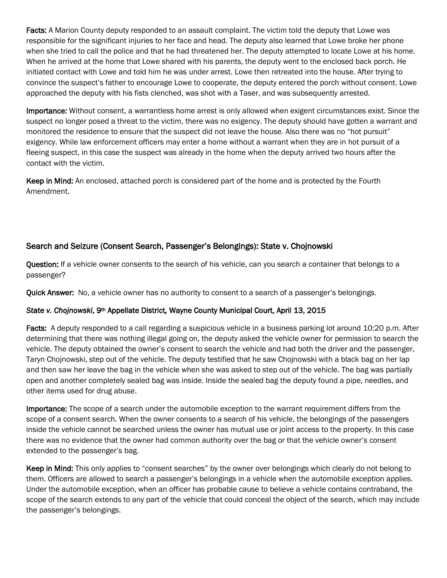Facts: A Marion County deputy responded to an assault complaint. The victim told the deputy that Lowe was responsible for the significant injuries to her face and head. The deputy also learned that Lowe broke her phone when she tried to call the police and that he had threatened her. The deputy attempted to locate Lowe at his home. When he arrived at the home that Lowe shared with his parents, the deputy went to the enclosed back porch. He initiated contact with Lowe and told him he was under arrest. Lowe then retreated into the house. After trying to convince the suspect's father to encourage Lowe to cooperate, the deputy entered the porch without consent. Lowe approached the deputy with his fists clenched, was shot with a Taser, and was subsequently arrested.

Importance: Without consent, a warrantless home arrest is only allowed when exigent circumstances exist. Since the suspect no longer posed a threat to the victim, there was no exigency. The deputy should have gotten a warrant and monitored the residence to ensure that the suspect did not leave the house. Also there was no "hot pursuit" exigency. While law enforcement officers may enter a home without a warrant when they are in hot pursuit of a fleeing suspect, in this case the suspect was already in the home when the deputy arrived two hours after the contact with the victim.

Keep in Mind: An enclosed, attached porch is considered part of the home and is protected by the Fourth Amendment.

# Search and Seizure (Consent Search, Passenger's Belongings): State v. Chojnowski

Question: If a vehicle owner consents to the search of his vehicle, can you search a container that belongs to a passenger?

**Quick Answer:** No, a vehicle owner has no authority to consent to a search of a passenger's belongings.

## *State v. Chojnowski*, 9th Appellate District*,* Wayne County Municipal Court, April 13, 2015

Facts: A deputy responded to a call regarding a suspicious vehicle in a business parking lot around 10:20 p.m. After determining that there was nothing illegal going on, the deputy asked the vehicle owner for permission to search the vehicle. The deputy obtained the owner's consent to search the vehicle and had both the driver and the passenger, Taryn Chojnowski, step out of the vehicle. The deputy testified that he saw Chojnowski with a black bag on her lap and then saw her leave the bag in the vehicle when she was asked to step out of the vehicle. The bag was partially open and another completely sealed bag was inside. Inside the sealed bag the deputy found a pipe, needles, and other items used for drug abuse.

Importance: The scope of a search under the automobile exception to the warrant requirement differs from the scope of a consent search. When the owner consents to a search of his vehicle, the belongings of the passengers inside the vehicle cannot be searched unless the owner has mutual use or joint access to the property. In this case there was no evidence that the owner had common authority over the bag or that the vehicle owner's consent extended to the passenger's bag.

Keep in Mind: This only applies to "consent searches" by the owner over belongings which clearly do not belong to them. Officers are allowed to search a passenger's belongings in a vehicle when the automobile exception applies. Under the automobile exception, when an officer has probable cause to believe a vehicle contains contraband, the scope of the search extends to any part of the vehicle that could conceal the object of the search, which may include the passenger's belongings.